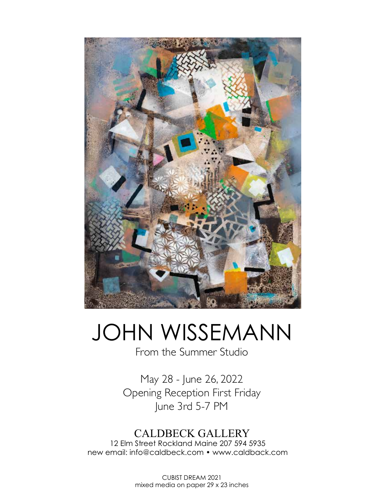

## JOHN WISSEMANN

From the Summer Studio

May 28 - June 26, 2022 Opening Reception First Friday June 3rd 5-7 PM

## CALDBECK GALLERY

12 Elm Street Rockland Maine 207 594 5935 new email: info@caldbeck.com • www.caldback.com

> CUBIST DREAM 2021 mixed media on paper 29 x 23 inches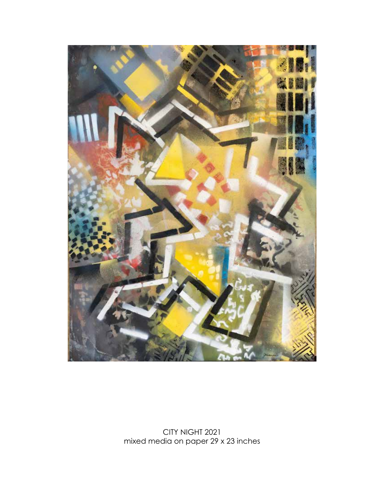

CITY NIGHT 2021 mixed media on paper 29 x 23 inches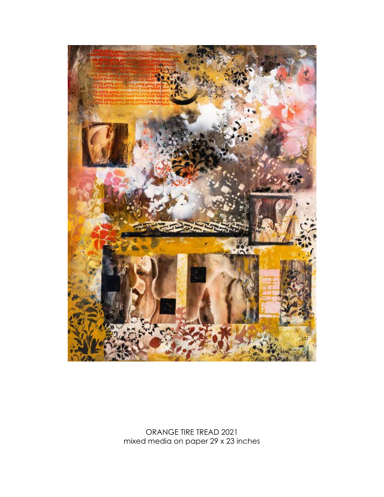

ORANGE TIRE TREAD 2021 mixed media on paper 29 x 23 inches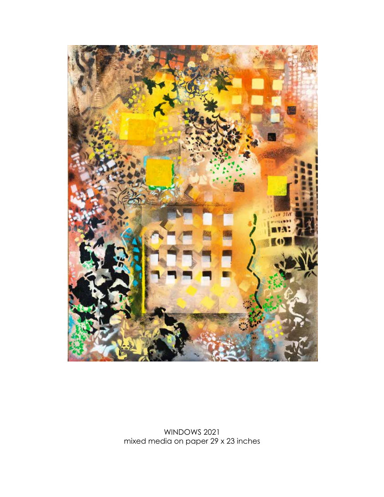

WINDOWS 2021 mixed media on paper 29 x 23 inches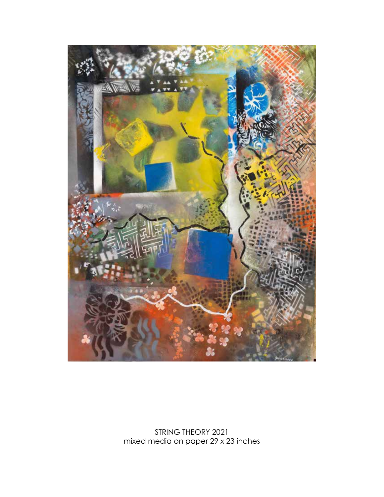

STRING THEORY 2021 mixed media on paper 29 x 23 inches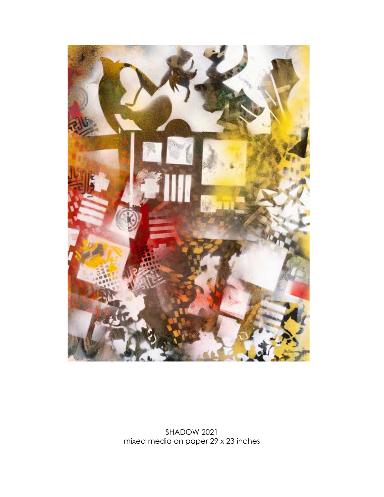

SHADOW 2021 mixed media on paper 29 x 23 inches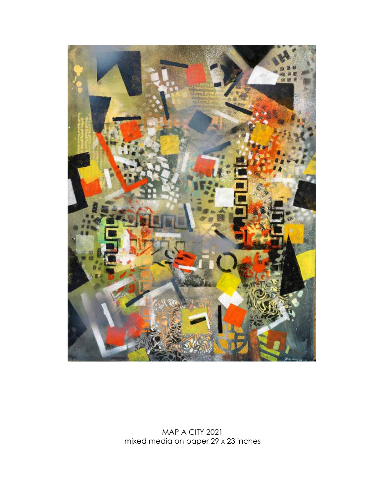

MAP A CITY 2021 mixed media on paper 29 x 23 inches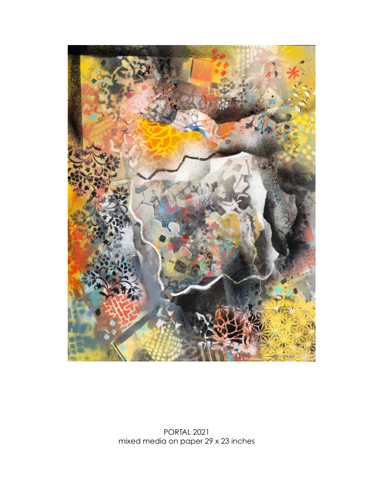

PORTAL 2021 mixed media on paper 29 x 23 inches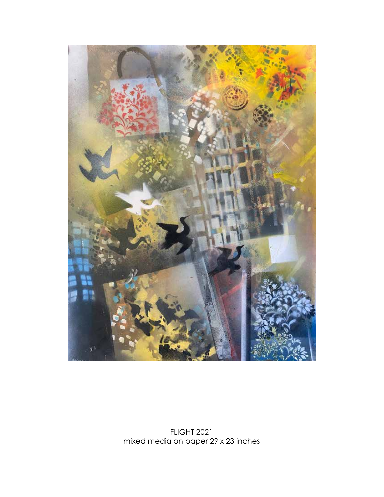

FLIGHT 2021 mixed media on paper 29 x 23 inches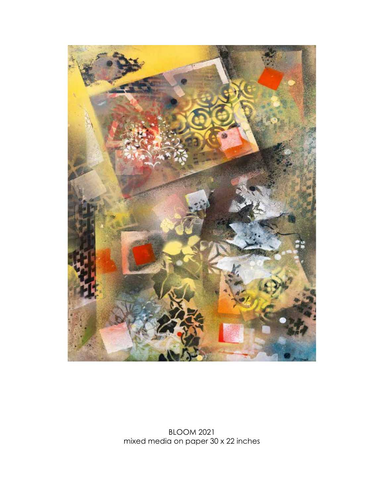

BLOOM 2021 mixed media on paper 30 x 22 inches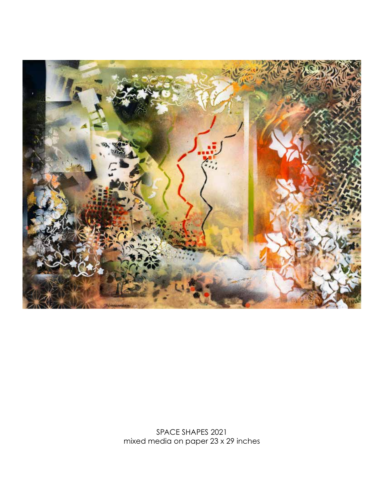

SPACE SHAPES 2021 mixed media on paper 23 x 29 inches